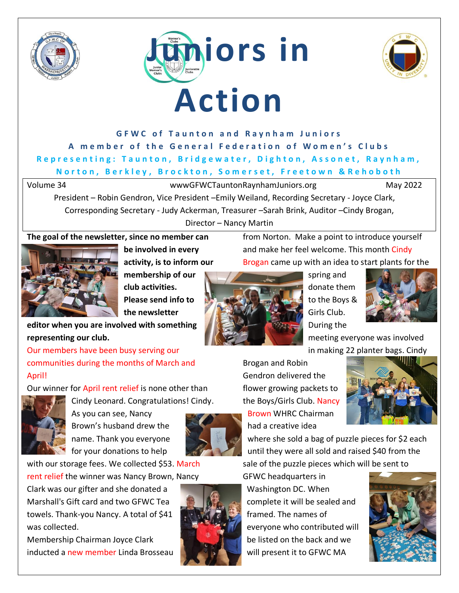







# **GFWC of Taunton and Raynham Juniors** A member of the General Federation of Women's Clubs **Representing: Taunton, Bridgewater, Dighton, Assonet, Raynham, N o r t o n , B e r k l e y , B r o c k t o n , S o m e r s e t , F r e e t o w n & R e h o b o t h**

Volume 34 wwwGFWCTauntonRaynhamJuniors.org May 2022

President – Robin Gendron, Vice President –Emily Weiland, Recording Secretary - Joyce Clark, Corresponding Secretary - Judy Ackerman, Treasurer –Sarah Brink, Auditor –Cindy Brogan, Director – Nancy Martin

## **The goal of the newsletter, since no member can**



**be involved in every activity, is to inform our** 

**membership of our club activities. Please send info to the newsletter** 

**editor when you are involved with something representing our club.**

Our members have been busy serving our communities during the months of March and April!

Our winner for April rent relief is none other than



Cindy Leonard. Congratulations! Cindy. As you can see, Nancy Brown's husband drew the name. Thank you everyone for your donations to help



with our storage fees. We collected \$53. March

rent relief the winner was Nancy Brown, Nancy

Clark was our gifter and she donated a Marshall's Gift card and two GFWC Tea towels. Thank-you Nancy. A total of \$41 was collected.

Membership Chairman Joyce Clark inducted a new member Linda Brosseau





from Norton. Make a point to introduce yourself and make her feel welcome. This month Cindy Brogan came up with an idea to start plants for the



spring and donate them to the Boys & Girls Club. During the



meeting everyone was involved in making 22 planter bags. Cindy

Brogan and Robin Gendron delivered the flower growing packets to the Boys/Girls Club. Nancy Brown WHRC Chairman had a creative idea



where she sold a bag of puzzle pieces for \$2 each until they were all sold and raised \$40 from the sale of the puzzle pieces which will be sent to

GFWC headquarters in Washington DC. When complete it will be sealed and framed. The names of everyone who contributed will be listed on the back and we will present it to GFWC MA

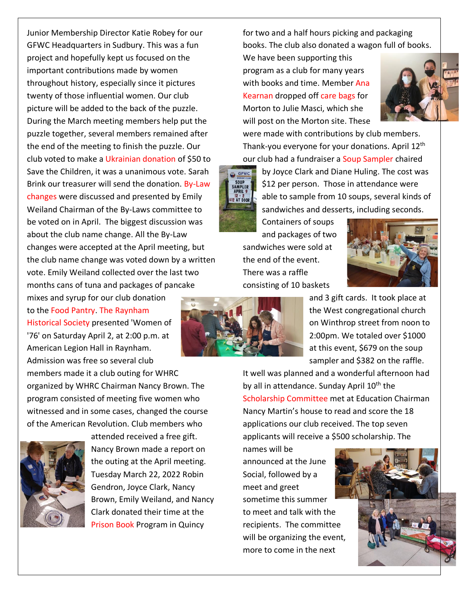Junior Membership Director Katie Robey for our GFWC Headquarters in Sudbury. This was a fun project and hopefully kept us focused on the important contributions made by women throughout history, especially since it pictures twenty of those influential women. Our club picture will be added to the back of the puzzle. During the March meeting members help put the puzzle together, several members remained after the end of the meeting to finish the puzzle. Our club voted to make a Ukrainian donation of \$50 to Save the Children, it was a unanimous vote. Sarah Brink our treasurer will send the donation. By-Law changes were discussed and presented by Emily Weiland Chairman of the By-Laws committee to be voted on in April. The biggest discussion was about the club name change. All the By-Law changes were accepted at the April meeting, but the club name change was voted down by a written vote. Emily Weiland collected over the last two months cans of tuna and packages of pancake mixes and syrup for our club donation

to the Food Pantry. The Raynham Historical Society presented 'Women of '76' on Saturday April 2, at 2:00 p.m. at American Legion Hall in Raynham. Admission was free so several club

members made it a club outing for WHRC organized by WHRC Chairman Nancy Brown. The program consisted of meeting five women who witnessed and in some cases, changed the course of the American Revolution. Club members who



attended received a free gift. Nancy Brown made a report on the outing at the April meeting. Tuesday March 22, 2022 Robin Gendron, Joyce Clark, Nancy Brown, Emily Weiland, and Nancy Clark donated their time at the Prison Book Program in Quincy

for two and a half hours picking and packaging books. The club also donated a wagon full of books.

We have been supporting this program as a club for many years with books and time. Member Ana Kearnan dropped off care bags for Morton to Julie Masci, which she will post on the Morton site. These



were made with contributions by club members. Thank-you everyone for your donations. April 12th our club had a fundraiser a Soup Sampler chaired



by Joyce Clark and Diane Huling. The cost was \$12 per person. Those in attendance were able to sample from 10 soups, several kinds of sandwiches and desserts, including seconds.

Containers of soups and packages of two sandwiches were sold at the end of the event. There was a raffle consisting of 10 baskets





and 3 gift cards. It took place at the West congregational church on Winthrop street from noon to 2:00pm. We totaled over \$1000 at this event, \$679 on the soup sampler and \$382 on the raffle.

It well was planned and a wonderful afternoon had by all in attendance. Sunday April  $10<sup>th</sup>$  the Scholarship Committee met at Education Chairman Nancy Martin's house to read and score the 18 applications our club received. The top seven applicants will receive a \$500 scholarship. The

names will be announced at the June Social, followed by a meet and greet sometime this summer to meet and talk with the recipients. The committee will be organizing the event, more to come in the next

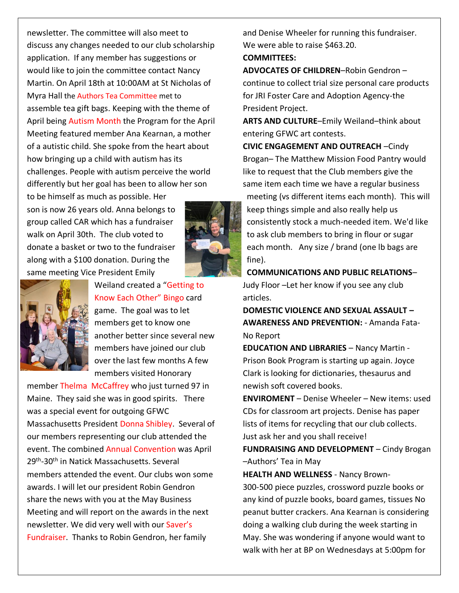newsletter. The committee will also meet to discuss any changes needed to our club scholarship application. If any member has suggestions or would like to join the committee contact Nancy Martin. On April 18th at 10:00AM at St Nicholas of Myra Hall the Authors Tea Committee met to assemble tea gift bags. Keeping with the theme of April being Autism Month the Program for the April Meeting featured member Ana Kearnan, a mother of a autistic child. She spoke from the heart about how bringing up a child with autism has its challenges. People with autism perceive the world differently but her goal has been to allow her son

to be himself as much as possible. Her son is now 26 years old. Anna belongs to group called CAR which has a fundraiser walk on April 30th. The club voted to donate a basket or two to the fundraiser along with a \$100 donation. During the same meeting Vice President Emily





Weiland created a "Getting to Know Each Other" Bingo card game. The goal was to let members get to know one another better since several new members have joined our club over the last few months A few members visited Honorary

member Thelma McCaffrey who just turned 97 in Maine. They said she was in good spirits. There was a special event for outgoing GFWC Massachusetts President Donna Shibley. Several of our members representing our club attended the event. The combined Annual Convention was April 29<sup>th</sup>-30<sup>th</sup> in Natick Massachusetts. Several members attended the event. Our clubs won some awards. I will let our president Robin Gendron share the news with you at the May Business Meeting and will report on the awards in the next newsletter. We did very well with our Saver's Fundraiser. Thanks to Robin Gendron, her family

and Denise Wheeler for running this fundraiser. We were able to raise \$463.20.

**COMMITTEES:**

**ADVOCATES OF CHILDREN**–Robin Gendron – continue to collect trial size personal care products for JRI Foster Care and Adoption Agency-the President Project.

**ARTS AND CULTURE**–Emily Weiland–think about entering GFWC art contests.

**CIVIC ENGAGEMENT AND OUTREACH** –Cindy Brogan– The Matthew Mission Food Pantry would like to request that the Club members give the same item each time we have a regular business

meeting (vs different items each month). This will keep things simple and also really help us consistently stock a much-needed item. We'd like to ask club members to bring in flour or sugar each month. Any size / brand (one lb bags are fine).

**COMMUNICATIONS AND PUBLIC RELATIONS**– Judy Floor –Let her know if you see any club articles.

**DOMESTIC VIOLENCE AND SEXUAL ASSAULT – AWARENESS AND PREVENTION:** - Amanda Fata-No Report

**EDUCATION AND LIBRARIES** – Nancy Martin - Prison Book Program is starting up again. Joyce Clark is looking for dictionaries, thesaurus and newish soft covered books.

**ENVIROMENT** – Denise Wheeler – New items: used CDs for classroom art projects. Denise has paper lists of items for recycling that our club collects. Just ask her and you shall receive!

**FUNDRAISING AND DEVELOPMENT** – Cindy Brogan –Authors' Tea in May

**HEALTH AND WELLNESS** - Nancy Brown-300-500 piece puzzles, crossword puzzle books or any kind of puzzle books, board games, tissues No peanut butter crackers. Ana Kearnan is considering doing a walking club during the week starting in May. She was wondering if anyone would want to walk with her at BP on Wednesdays at 5:00pm for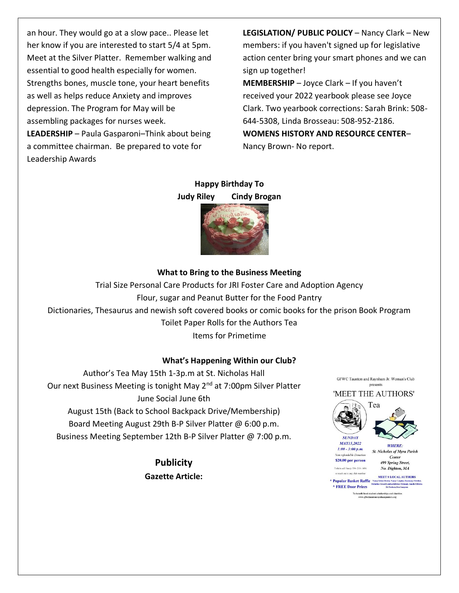an hour. They would go at a slow pace.. Please let her know if you are interested to start 5/4 at 5pm. Meet at the Silver Platter. Remember walking and essential to good health especially for women. Strengths bones, muscle tone, your heart benefits as well as helps reduce Anxiety and improves depression. The Program for May will be assembling packages for nurses week. **LEADERSHIP** – Paula Gasparoni–Think about being a committee chairman. Be prepared to vote for Leadership Awards

**LEGISLATION/ PUBLIC POLICY** – Nancy Clark – New members: if you haven't signed up for legislative action center bring your smart phones and we can sign up together! **MEMBERSHIP** – Joyce Clark – If you haven't received your 2022 yearbook please see Joyce Clark. Two yearbook corrections: Sarah Brink: 508- 644-5308, Linda Brosseau: 508-952-2186. **WOMENS HISTORY AND RESOURCE CENTER**– Nancy Brown- No report.

# **Happy Birthday To**



## **What to Bring to the Business Meeting**

Trial Size Personal Care Products for JRI Foster Care and Adoption Agency Flour, sugar and Peanut Butter for the Food Pantry Dictionaries, Thesaurus and newish soft covered books or comic books for the prison Book Program Toilet Paper Rolls for the Authors Tea Items for Primetime

### **What's Happening Within our Club?**

Author's Tea May 15th 1-3p.m at St. Nicholas Hall Our next Business Meeting is tonight May 2<sup>nd</sup> at 7:00pm Silver Platter June Social June 6th August 15th (Back to School Backpack Drive/Membership) Board Meeting August 29th B-P Silver Platter @ 6:00 p.m.

Business Meeting September 12th B-P Silver Platter @ 7:00 p.m.

**Publicity Gazette Article:**